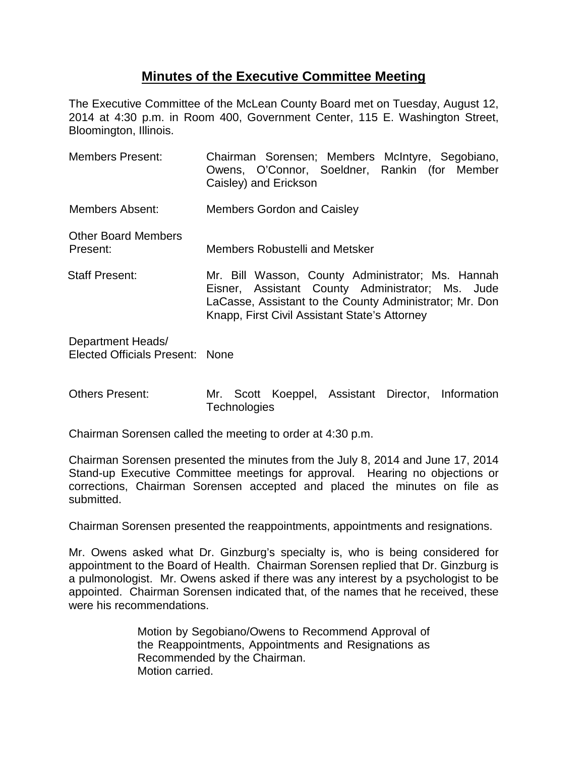## **Minutes of the Executive Committee Meeting**

The Executive Committee of the McLean County Board met on Tuesday, August 12, 2014 at 4:30 p.m. in Room 400, Government Center, 115 E. Washington Street, Bloomington, Illinois.

Members Present: Chairman Sorensen; Members McIntyre, Segobiano, Owens, O'Connor, Soeldner, Rankin (for Member Caisley) and Erickson Members Absent: Members Gordon and Caisley Other Board Members Present: Members Robustelli and Metsker Staff Present: Mr. Bill Wasson, County Administrator; Ms. Hannah Eisner, Assistant County Administrator; Ms. Jude LaCasse, Assistant to the County Administrator; Mr. Don Knapp, First Civil Assistant State's Attorney Department Heads/

Elected Officials Present: None

Others Present: Mr. Scott Koeppel, Assistant Director, Information **Technologies** 

Chairman Sorensen called the meeting to order at 4:30 p.m.

Chairman Sorensen presented the minutes from the July 8, 2014 and June 17, 2014 Stand-up Executive Committee meetings for approval.Hearing no objections or corrections, Chairman Sorensen accepted and placed the minutes on file as submitted.

Chairman Sorensen presented the reappointments, appointments and resignations.

Mr. Owens asked what Dr. Ginzburg's specialty is, who is being considered for appointment to the Board of Health. Chairman Sorensen replied that Dr. Ginzburg is a pulmonologist. Mr. Owens asked if there was any interest by a psychologist to be appointed. Chairman Sorensen indicated that, of the names that he received, these were his recommendations.

> Motion by Segobiano/Owens to Recommend Approval of the Reappointments, Appointments and Resignations as Recommended by the Chairman. Motion carried.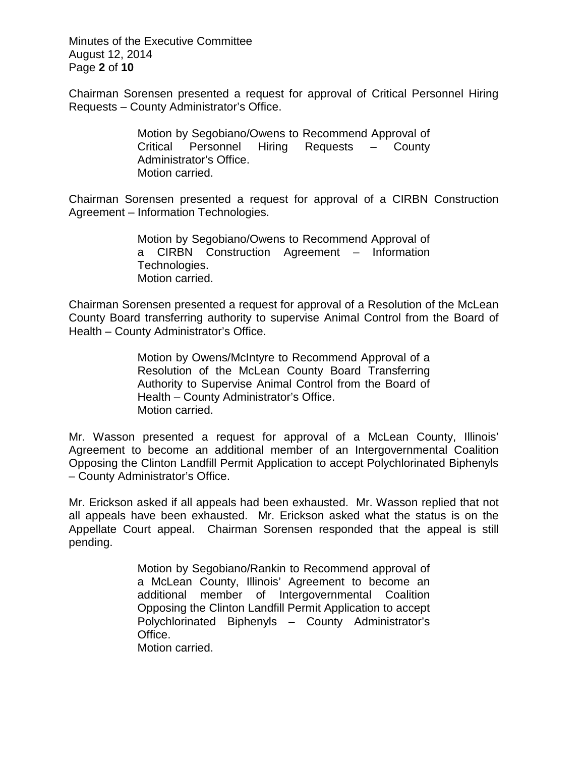Minutes of the Executive Committee August 12, 2014 Page **2** of **10**

Chairman Sorensen presented a request for approval of Critical Personnel Hiring Requests – County Administrator's Office.

> Motion by Segobiano/Owens to Recommend Approval of Critical Personnel Hiring Requests – County Administrator's Office. Motion carried.

Chairman Sorensen presented a request for approval of a CIRBN Construction Agreement – Information Technologies.

> Motion by Segobiano/Owens to Recommend Approval of a CIRBN Construction Agreement – Information Technologies. Motion carried.

Chairman Sorensen presented a request for approval of a Resolution of the McLean County Board transferring authority to supervise Animal Control from the Board of Health – County Administrator's Office.

> Motion by Owens/McIntyre to Recommend Approval of a Resolution of the McLean County Board Transferring Authority to Supervise Animal Control from the Board of Health – County Administrator's Office. Motion carried.

Mr. Wasson presented a request for approval of a McLean County, Illinois' Agreement to become an additional member of an Intergovernmental Coalition Opposing the Clinton Landfill Permit Application to accept Polychlorinated Biphenyls – County Administrator's Office.

Mr. Erickson asked if all appeals had been exhausted. Mr. Wasson replied that not all appeals have been exhausted. Mr. Erickson asked what the status is on the Appellate Court appeal. Chairman Sorensen responded that the appeal is still pending.

> Motion by Segobiano/Rankin to Recommend approval of a McLean County, Illinois' Agreement to become an additional member of Intergovernmental Coalition Opposing the Clinton Landfill Permit Application to accept Polychlorinated Biphenyls – County Administrator's Office. Motion carried.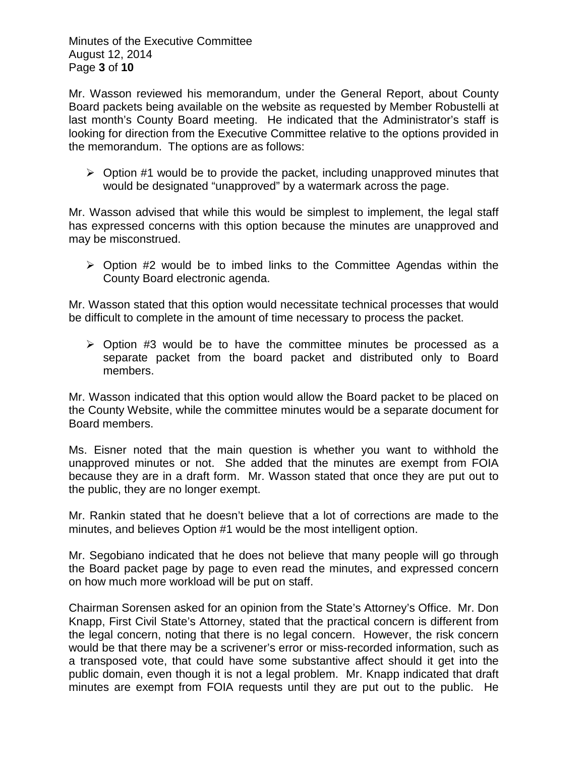Minutes of the Executive Committee August 12, 2014 Page **3** of **10**

Mr. Wasson reviewed his memorandum, under the General Report, about County Board packets being available on the website as requested by Member Robustelli at last month's County Board meeting. He indicated that the Administrator's staff is looking for direction from the Executive Committee relative to the options provided in the memorandum. The options are as follows:

 $\triangleright$  Option #1 would be to provide the packet, including unapproved minutes that would be designated "unapproved" by a watermark across the page.

Mr. Wasson advised that while this would be simplest to implement, the legal staff has expressed concerns with this option because the minutes are unapproved and may be misconstrued.

 $\triangleright$  Option #2 would be to imbed links to the Committee Agendas within the County Board electronic agenda.

Mr. Wasson stated that this option would necessitate technical processes that would be difficult to complete in the amount of time necessary to process the packet.

 $\triangleright$  Option #3 would be to have the committee minutes be processed as a separate packet from the board packet and distributed only to Board members.

Mr. Wasson indicated that this option would allow the Board packet to be placed on the County Website, while the committee minutes would be a separate document for Board members.

Ms. Eisner noted that the main question is whether you want to withhold the unapproved minutes or not. She added that the minutes are exempt from FOIA because they are in a draft form. Mr. Wasson stated that once they are put out to the public, they are no longer exempt.

Mr. Rankin stated that he doesn't believe that a lot of corrections are made to the minutes, and believes Option #1 would be the most intelligent option.

Mr. Segobiano indicated that he does not believe that many people will go through the Board packet page by page to even read the minutes, and expressed concern on how much more workload will be put on staff.

Chairman Sorensen asked for an opinion from the State's Attorney's Office. Mr. Don Knapp, First Civil State's Attorney, stated that the practical concern is different from the legal concern, noting that there is no legal concern. However, the risk concern would be that there may be a scrivener's error or miss-recorded information, such as a transposed vote, that could have some substantive affect should it get into the public domain, even though it is not a legal problem. Mr. Knapp indicated that draft minutes are exempt from FOIA requests until they are put out to the public. He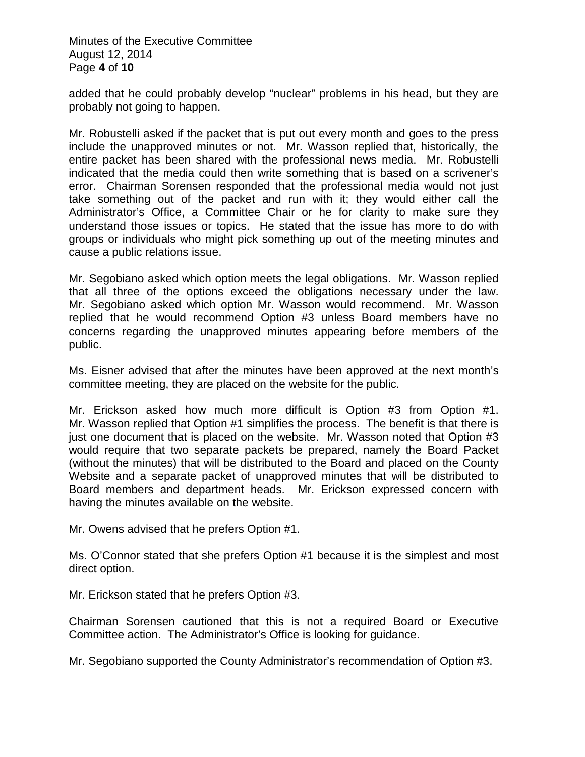Minutes of the Executive Committee August 12, 2014 Page **4** of **10**

added that he could probably develop "nuclear" problems in his head, but they are probably not going to happen.

Mr. Robustelli asked if the packet that is put out every month and goes to the press include the unapproved minutes or not. Mr. Wasson replied that, historically, the entire packet has been shared with the professional news media. Mr. Robustelli indicated that the media could then write something that is based on a scrivener's error. Chairman Sorensen responded that the professional media would not just take something out of the packet and run with it; they would either call the Administrator's Office, a Committee Chair or he for clarity to make sure they understand those issues or topics. He stated that the issue has more to do with groups or individuals who might pick something up out of the meeting minutes and cause a public relations issue.

Mr. Segobiano asked which option meets the legal obligations. Mr. Wasson replied that all three of the options exceed the obligations necessary under the law. Mr. Segobiano asked which option Mr. Wasson would recommend. Mr. Wasson replied that he would recommend Option #3 unless Board members have no concerns regarding the unapproved minutes appearing before members of the public.

Ms. Eisner advised that after the minutes have been approved at the next month's committee meeting, they are placed on the website for the public.

Mr. Erickson asked how much more difficult is Option #3 from Option #1. Mr. Wasson replied that Option #1 simplifies the process. The benefit is that there is just one document that is placed on the website. Mr. Wasson noted that Option #3 would require that two separate packets be prepared, namely the Board Packet (without the minutes) that will be distributed to the Board and placed on the County Website and a separate packet of unapproved minutes that will be distributed to Board members and department heads. Mr. Erickson expressed concern with having the minutes available on the website.

Mr. Owens advised that he prefers Option #1.

Ms. O'Connor stated that she prefers Option #1 because it is the simplest and most direct option.

Mr. Erickson stated that he prefers Option #3.

Chairman Sorensen cautioned that this is not a required Board or Executive Committee action. The Administrator's Office is looking for guidance.

Mr. Segobiano supported the County Administrator's recommendation of Option #3.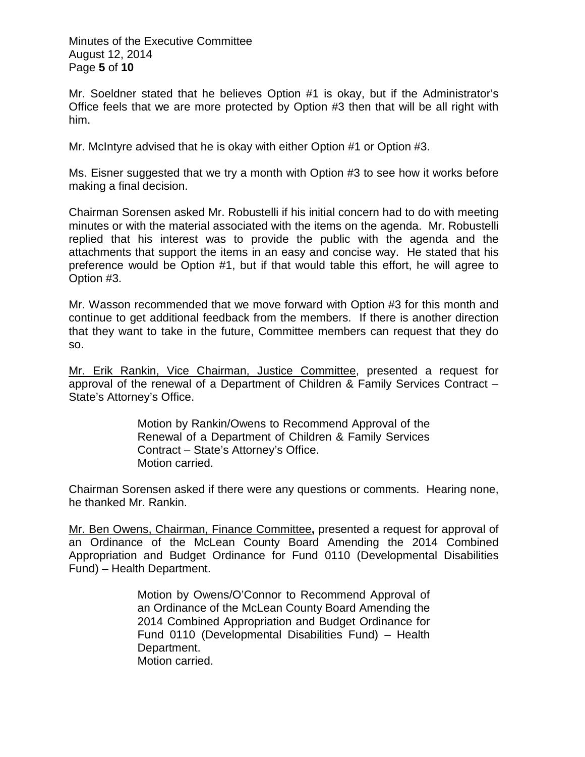Minutes of the Executive Committee August 12, 2014 Page **5** of **10**

Mr. Soeldner stated that he believes Option #1 is okay, but if the Administrator's Office feels that we are more protected by Option #3 then that will be all right with him.

Mr. McIntyre advised that he is okay with either Option #1 or Option #3.

Ms. Eisner suggested that we try a month with Option #3 to see how it works before making a final decision.

Chairman Sorensen asked Mr. Robustelli if his initial concern had to do with meeting minutes or with the material associated with the items on the agenda. Mr. Robustelli replied that his interest was to provide the public with the agenda and the attachments that support the items in an easy and concise way. He stated that his preference would be Option #1, but if that would table this effort, he will agree to Option #3.

Mr. Wasson recommended that we move forward with Option #3 for this month and continue to get additional feedback from the members. If there is another direction that they want to take in the future, Committee members can request that they do so.

Mr. Erik Rankin, Vice Chairman, Justice Committee, presented a request for approval of the renewal of a Department of Children & Family Services Contract – State's Attorney's Office.

> Motion by Rankin/Owens to Recommend Approval of the Renewal of a Department of Children & Family Services Contract – State's Attorney's Office. Motion carried.

Chairman Sorensen asked if there were any questions or comments. Hearing none, he thanked Mr. Rankin.

Mr. Ben Owens, Chairman, Finance Committee**,** presented a request for approval of an Ordinance of the McLean County Board Amending the 2014 Combined Appropriation and Budget Ordinance for Fund 0110 (Developmental Disabilities Fund) – Health Department.

> Motion by Owens/O'Connor to Recommend Approval of an Ordinance of the McLean County Board Amending the 2014 Combined Appropriation and Budget Ordinance for Fund 0110 (Developmental Disabilities Fund) – Health Department. Motion carried.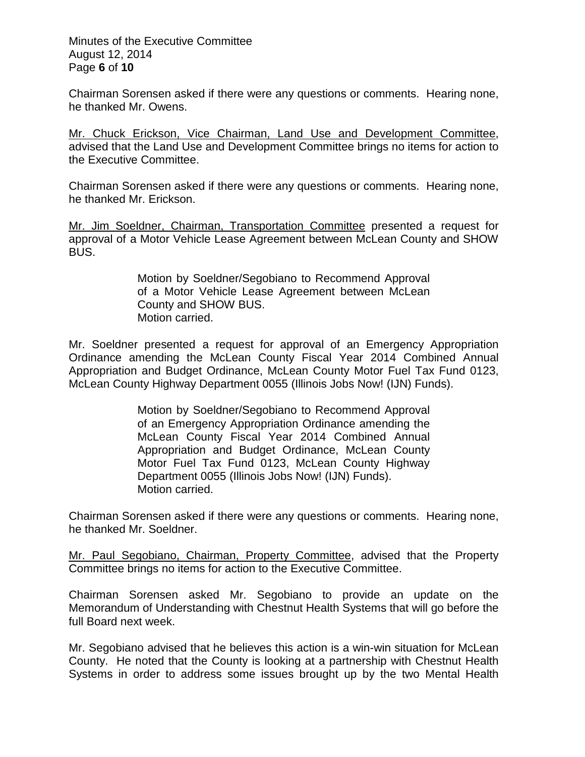Minutes of the Executive Committee August 12, 2014 Page **6** of **10**

Chairman Sorensen asked if there were any questions or comments. Hearing none, he thanked Mr. Owens.

Mr. Chuck Erickson, Vice Chairman, Land Use and Development Committee, advised that the Land Use and Development Committee brings no items for action to the Executive Committee.

Chairman Sorensen asked if there were any questions or comments. Hearing none, he thanked Mr. Erickson.

Mr. Jim Soeldner, Chairman, Transportation Committee presented a request for approval of a Motor Vehicle Lease Agreement between McLean County and SHOW BUS.

> Motion by Soeldner/Segobiano to Recommend Approval of a Motor Vehicle Lease Agreement between McLean County and SHOW BUS. Motion carried.

Mr. Soeldner presented a request for approval of an Emergency Appropriation Ordinance amending the McLean County Fiscal Year 2014 Combined Annual Appropriation and Budget Ordinance, McLean County Motor Fuel Tax Fund 0123, McLean County Highway Department 0055 (Illinois Jobs Now! (IJN) Funds).

> Motion by Soeldner/Segobiano to Recommend Approval of an Emergency Appropriation Ordinance amending the McLean County Fiscal Year 2014 Combined Annual Appropriation and Budget Ordinance, McLean County Motor Fuel Tax Fund 0123, McLean County Highway Department 0055 (Illinois Jobs Now! (IJN) Funds). Motion carried.

Chairman Sorensen asked if there were any questions or comments. Hearing none, he thanked Mr. Soeldner.

Mr. Paul Segobiano, Chairman, Property Committee, advised that the Property Committee brings no items for action to the Executive Committee.

Chairman Sorensen asked Mr. Segobiano to provide an update on the Memorandum of Understanding with Chestnut Health Systems that will go before the full Board next week.

Mr. Segobiano advised that he believes this action is a win-win situation for McLean County. He noted that the County is looking at a partnership with Chestnut Health Systems in order to address some issues brought up by the two Mental Health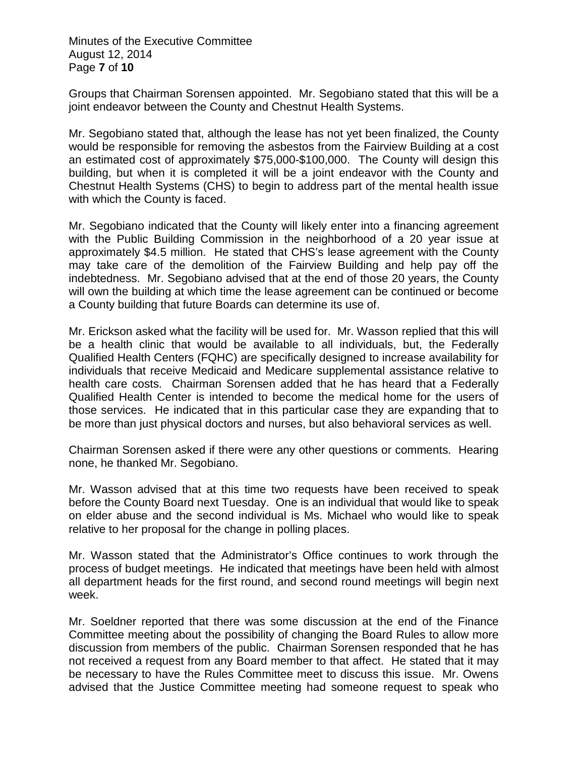Minutes of the Executive Committee August 12, 2014 Page **7** of **10**

Groups that Chairman Sorensen appointed. Mr. Segobiano stated that this will be a joint endeavor between the County and Chestnut Health Systems.

Mr. Segobiano stated that, although the lease has not yet been finalized, the County would be responsible for removing the asbestos from the Fairview Building at a cost an estimated cost of approximately \$75,000-\$100,000. The County will design this building, but when it is completed it will be a joint endeavor with the County and Chestnut Health Systems (CHS) to begin to address part of the mental health issue with which the County is faced.

Mr. Segobiano indicated that the County will likely enter into a financing agreement with the Public Building Commission in the neighborhood of a 20 year issue at approximately \$4.5 million. He stated that CHS's lease agreement with the County may take care of the demolition of the Fairview Building and help pay off the indebtedness. Mr. Segobiano advised that at the end of those 20 years, the County will own the building at which time the lease agreement can be continued or become a County building that future Boards can determine its use of.

Mr. Erickson asked what the facility will be used for. Mr. Wasson replied that this will be a health clinic that would be available to all individuals, but, the Federally Qualified Health Centers (FQHC) are specifically designed to increase availability for individuals that receive Medicaid and Medicare supplemental assistance relative to health care costs. Chairman Sorensen added that he has heard that a Federally Qualified Health Center is intended to become the medical home for the users of those services. He indicated that in this particular case they are expanding that to be more than just physical doctors and nurses, but also behavioral services as well.

Chairman Sorensen asked if there were any other questions or comments. Hearing none, he thanked Mr. Segobiano.

Mr. Wasson advised that at this time two requests have been received to speak before the County Board next Tuesday. One is an individual that would like to speak on elder abuse and the second individual is Ms. Michael who would like to speak relative to her proposal for the change in polling places.

Mr. Wasson stated that the Administrator's Office continues to work through the process of budget meetings. He indicated that meetings have been held with almost all department heads for the first round, and second round meetings will begin next week.

Mr. Soeldner reported that there was some discussion at the end of the Finance Committee meeting about the possibility of changing the Board Rules to allow more discussion from members of the public. Chairman Sorensen responded that he has not received a request from any Board member to that affect. He stated that it may be necessary to have the Rules Committee meet to discuss this issue. Mr. Owens advised that the Justice Committee meeting had someone request to speak who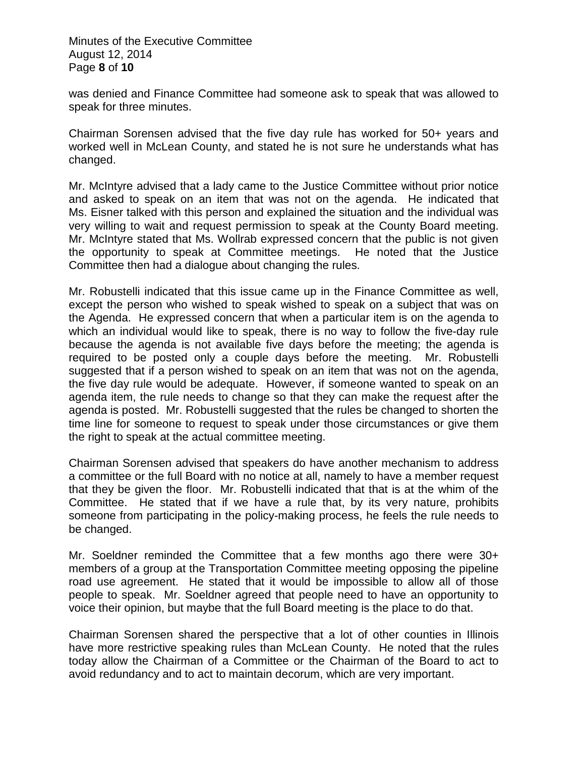Minutes of the Executive Committee August 12, 2014 Page **8** of **10**

was denied and Finance Committee had someone ask to speak that was allowed to speak for three minutes.

Chairman Sorensen advised that the five day rule has worked for 50+ years and worked well in McLean County, and stated he is not sure he understands what has changed.

Mr. McIntyre advised that a lady came to the Justice Committee without prior notice and asked to speak on an item that was not on the agenda. He indicated that Ms. Eisner talked with this person and explained the situation and the individual was very willing to wait and request permission to speak at the County Board meeting. Mr. McIntyre stated that Ms. Wollrab expressed concern that the public is not given the opportunity to speak at Committee meetings. He noted that the Justice Committee then had a dialogue about changing the rules.

Mr. Robustelli indicated that this issue came up in the Finance Committee as well, except the person who wished to speak wished to speak on a subject that was on the Agenda. He expressed concern that when a particular item is on the agenda to which an individual would like to speak, there is no way to follow the five-day rule because the agenda is not available five days before the meeting; the agenda is required to be posted only a couple days before the meeting. Mr. Robustelli suggested that if a person wished to speak on an item that was not on the agenda, the five day rule would be adequate. However, if someone wanted to speak on an agenda item, the rule needs to change so that they can make the request after the agenda is posted. Mr. Robustelli suggested that the rules be changed to shorten the time line for someone to request to speak under those circumstances or give them the right to speak at the actual committee meeting.

Chairman Sorensen advised that speakers do have another mechanism to address a committee or the full Board with no notice at all, namely to have a member request that they be given the floor. Mr. Robustelli indicated that that is at the whim of the Committee. He stated that if we have a rule that, by its very nature, prohibits someone from participating in the policy-making process, he feels the rule needs to be changed.

Mr. Soeldner reminded the Committee that a few months ago there were 30+ members of a group at the Transportation Committee meeting opposing the pipeline road use agreement. He stated that it would be impossible to allow all of those people to speak. Mr. Soeldner agreed that people need to have an opportunity to voice their opinion, but maybe that the full Board meeting is the place to do that.

Chairman Sorensen shared the perspective that a lot of other counties in Illinois have more restrictive speaking rules than McLean County. He noted that the rules today allow the Chairman of a Committee or the Chairman of the Board to act to avoid redundancy and to act to maintain decorum, which are very important.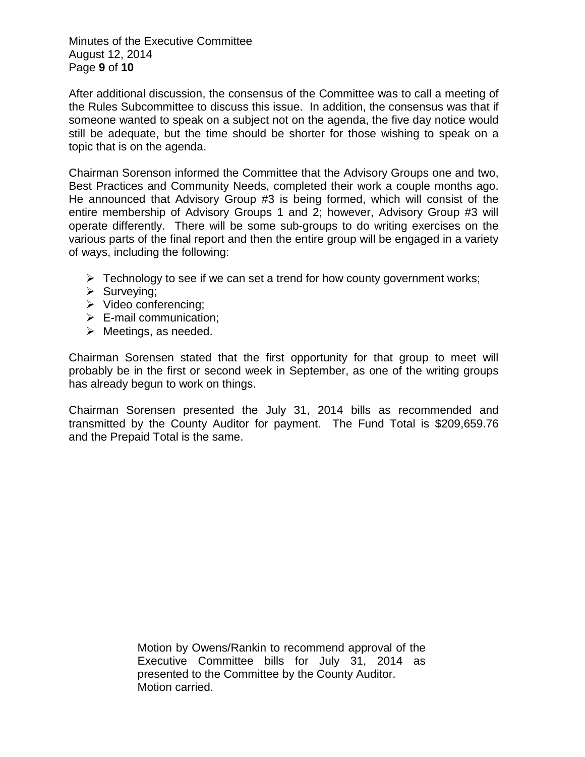Minutes of the Executive Committee August 12, 2014 Page **9** of **10**

After additional discussion, the consensus of the Committee was to call a meeting of the Rules Subcommittee to discuss this issue. In addition, the consensus was that if someone wanted to speak on a subject not on the agenda, the five day notice would still be adequate, but the time should be shorter for those wishing to speak on a topic that is on the agenda.

Chairman Sorenson informed the Committee that the Advisory Groups one and two, Best Practices and Community Needs, completed their work a couple months ago. He announced that Advisory Group #3 is being formed, which will consist of the entire membership of Advisory Groups 1 and 2; however, Advisory Group #3 will operate differently. There will be some sub-groups to do writing exercises on the various parts of the final report and then the entire group will be engaged in a variety of ways, including the following:

- $\triangleright$  Technology to see if we can set a trend for how county government works;
- $\triangleright$  Surveying;
- $\triangleright$  Video conferencing;
- $\triangleright$  E-mail communication;
- $\triangleright$  Meetings, as needed.

Chairman Sorensen stated that the first opportunity for that group to meet will probably be in the first or second week in September, as one of the writing groups has already begun to work on things.

Chairman Sorensen presented the July 31, 2014 bills as recommended and transmitted by the County Auditor for payment. The Fund Total is \$209,659.76 and the Prepaid Total is the same.

> Motion by Owens/Rankin to recommend approval of the Executive Committee bills for July 31, 2014 as presented to the Committee by the County Auditor. Motion carried.